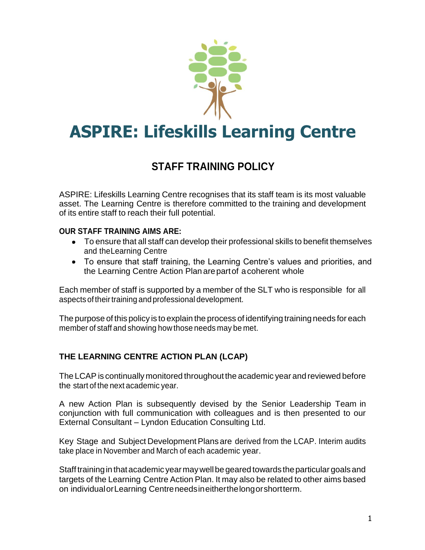

# **ASPIRE: Lifeskills Learning Centre**

# **STAFF TRAINING POLICY**

ASPIRE: Lifeskills Learning Centre recognises that its staff team is its most valuable asset. The Learning Centre is therefore committed to the training and development of its entire staff to reach their full potential.

#### **OUR STAFF TRAINING AIMS ARE:**

- To ensure that all staff can develop their professional skills to benefit themselves and theLearning Centre
- To ensure that staff training, the Learning Centre's values and priorities, and the Learning Centre Action Plan are part of a coherent whole

Each member of staff is supported by a member of the SLT who is responsible for all aspectsof theirtraining and professional development.

The purpose of this policy is to explain the process of identifying training needs for each member of staff and showing how those needs may be met.

## **THE LEARNING CENTRE ACTION PLAN (LCAP)**

The LCAP is continually monitored throughout the academic year and reviewed before the start of the next academic year.

A new Action Plan is subsequently devised by the Senior Leadership Team in conjunction with full communication with colleagues and is then presented to our External Consultant – Lyndon Education Consulting Ltd.

Key Stage and Subject Development Plans are derived from the LCAP. Interim audits take place in November and March of each academic year.

Staff training in that academic year may well be geared towards the particular goals and targets of the Learning Centre Action Plan. It may also be related to other aims based on individualorLearning Centreneedsineitherthelongorshortterm.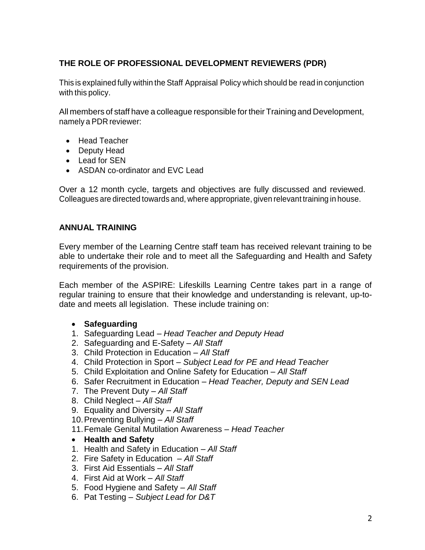## **THE ROLE OF PROFESSIONAL DEVELOPMENT REVIEWERS (PDR)**

This is explained fully within the Staff Appraisal Policy which should be read in conjunction with this policy.

All members of staff have a colleague responsible fortheir Training and Development, namely a PDR reviewer:

- Head Teacher
- Deputy Head
- Lead for SEN
- ASDAN co-ordinator and EVC Lead

Over a 12 month cycle, targets and objectives are fully discussed and reviewed. Colleagues are directed towards and, where appropriate, given relevant training in house.

#### **ANNUAL TRAINING**

Every member of the Learning Centre staff team has received relevant training to be able to undertake their role and to meet all the Safeguarding and Health and Safety requirements of the provision.

Each member of the ASPIRE: Lifeskills Learning Centre takes part in a range of regular training to ensure that their knowledge and understanding is relevant, up-todate and meets all legislation. These include training on:

#### • **Safeguarding**

- 1. Safeguarding Lead *Head Teacher and Deputy Head*
- 2. Safeguarding and E-Safety *All Staff*
- 3. Child Protection in Education *All Staff*
- 4. Child Protection in Sport *Subject Lead for PE and Head Teacher*
- 5. Child Exploitation and Online Safety for Education *All Staff*
- 6. Safer Recruitment in Education *Head Teacher, Deputy and SEN Lead*
- 7. The Prevent Duty *All Staff*
- 8. Child Neglect *All Staff*
- 9. Equality and Diversity *All Staff*
- 10.Preventing Bullying *All Staff*
- 11.Female Genital Mutilation Awareness *Head Teacher*
- **Health and Safety**
- 1. Health and Safety in Education *All Staff*
- 2. Fire Safety in Education *All Staff*
- 3. First Aid Essentials *All Staff*
- 4. First Aid at Work *All Staff*
- 5. Food Hygiene and Safety *All Staff*
- 6. Pat Testing *Subject Lead for D&T*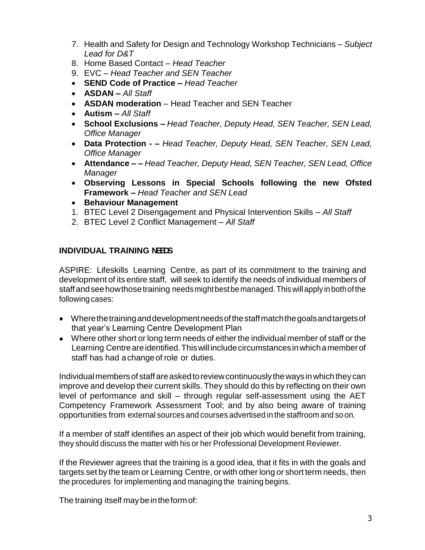- 7. Health and Safety for Design and Technology Workshop Technicians *Subject Lead for D&T*
- 8. Home Based Contact *Head Teacher*
- 9. EVC *Head Teacher and SEN Teacher*
- **SEND Code of Practice –** *Head Teacher*
- **ASDAN –** *All Staff*
- **ASDAN moderation** *–* Head Teacher and SEN Teacher
- **Autism –** *All Staff*
- **School Exclusions** *– Head Teacher, Deputy Head, SEN Teacher, SEN Lead, Office Manager*
- **Data Protection -** *– Head Teacher, Deputy Head, SEN Teacher, SEN Lead, Office Manager*
- **Attendance –** *– Head Teacher, Deputy Head, SEN Teacher, SEN Lead, Office Manager*
- **Observing Lessons in Special Schools following the new Ofsted Framework –** *Head Teacher and SEN Lead*
- **Behaviour Management**
- 1. BTEC Level 2 Disengagement and Physical Intervention Skills *All Staff*
- 2. BTEC Level 2 Conflict Management *All Staff*

#### **INDIVIDUAL TRAINING NEEDS**

ASPIRE: Lifeskills Learning Centre, as part of its commitment to the training and development of its entire staff, will seek to identify the needs of individual members of staffandseehowthosetraining needsmightbestbemanaged.Thiswillapply in bothofthe following cases:

- Wherethetraininganddevelopmentneedsofthestaffmatchthegoalsandtargetsof that year's Learning Centre Development Plan
- Where other short or long term needs of either the individual member of staff or the Learning Centreareidentified.Thiswill includecircumstancesinwhichamemberof staff has had achangeof role or duties.

Individual members of staff are asked to review continuously the ways in which they can improve and develop their current skills. They should do this by reflecting on their own level of performance and skill – through regular self-assessment using the AET Competency Framework Assessment Tool; and by also being aware of training opportunities from external sources and courses advertised in the staffroom and so on.

If a member of staff identifies an aspect of their job which would benefit from training, they should discuss the matter with his or her Professional Development Reviewer.

If the Reviewer agrees that the training is a good idea, that it fits in with the goals and targets set by the team or Learning Centre, or with other long or short term needs, then the procedures for implementing and managing the training begins.

The training itself may be in the form of: